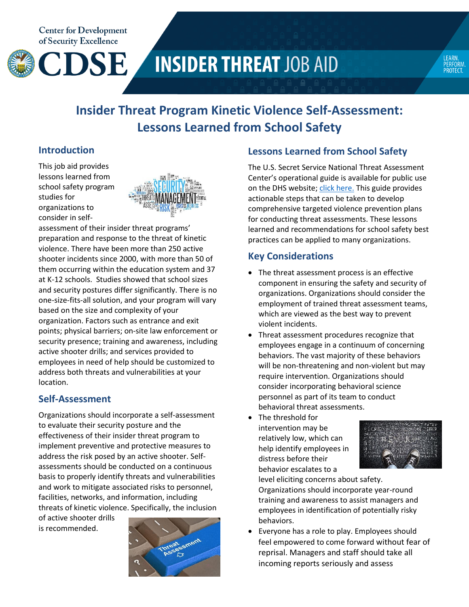**Center for Development** of Security Excellence



# **INSIDER THREAT JOB AID**



# **Insider Threat Program Kinetic Violence Self-Assessment: Lessons Learned from School Safety**

### **Introduction**

This job aid provides lessons learned from school safety program studies for organizations to consider in self-



assessment of their insider threat programs' preparation and response to the threat of kinetic violence. There have been more than 250 active shooter incidents since 2000, with more than 50 of them occurring within the education system and 37 at K-12 schools. Studies showed that school sizes and security postures differ significantly. There is no one-size-fits-all solution, and your program will vary based on the size and complexity of your organization. Factors such as entrance and exit points; physical barriers; on-site law enforcement or security presence; training and awareness, including active shooter drills; and services provided to employees in need of help should be customized to address both threats and vulnerabilities at your location.

# **Self-Assessment**

Organizations should incorporate a self-assessment to evaluate their security posture and the effectiveness of their insider threat program to implement preventive and protective measures to address the risk posed by an active shooter. Selfassessments should be conducted on a continuous basis to properly identify threats and vulnerabilities and work to mitigate associated risks to personnel, facilities, networks, and information, including threats of kinetic violence. Specifically, the inclusion

of active shooter drills is recommended.



# **Lessons Learned from School Safety**

The U.S. Secret Service National Threat Assessment Center's operational guide is available for public use on the DHS website; *[click here.](https://www.dhs.gov/news/2018/07/13/us-secret-service-releases-operational-guide-preventing-targeted-school-violence)* This guide provides actionable steps that can be taken to develop comprehensive targeted violence prevention plans for conducting threat assessments. These lessons learned and recommendations for school safety best practices can be applied to many organizations.

# **Key Considerations**

- The threat assessment process is an effective component in ensuring the safety and security of organizations. Organizations should consider the employment of trained threat assessment teams, which are viewed as the best way to prevent violent incidents.
- Threat assessment procedures recognize that employees engage in a continuum of concerning behaviors. The vast majority of these behaviors will be non-threatening and non-violent but may require intervention. Organizations should consider incorporating behavioral science personnel as part of its team to conduct behavioral threat assessments.
- The threshold for intervention may be relatively low, which can help identify employees in distress before their behavior escalates to a



level eliciting concerns about safety. Organizations should incorporate year-round training and awareness to assist managers and employees in identification of potentially risky behaviors.

 Everyone has a role to play. Employees should feel empowered to come forward without fear of reprisal. Managers and staff should take all incoming reports seriously and assess